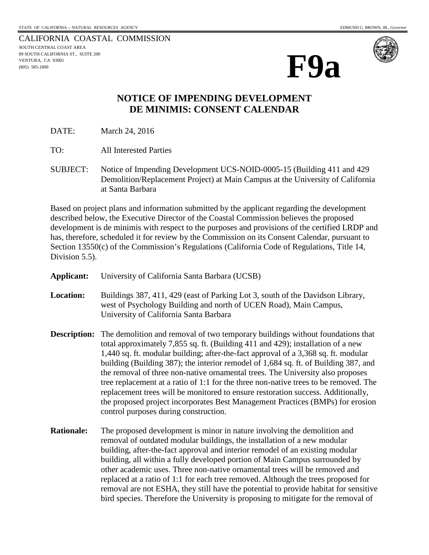CALIFORNIA COASTAL COMMISSION SOUTH CENTRAL COAST AREA 89 SOUTH CALIFORNIA ST., SUITE 200 VENTURA, CA 93001 (805) 585-1800



## **NOTICE OF IMPENDING DEVELOPMENT DE MINIMIS: CONSENT CALENDAR**

DATE: March 24, 2016

TO: All Interested Parties

SUBJECT: Notice of Impending Development UCS-NOID-0005-15 (Building 411 and 429 Demolition/Replacement Project) at Main Campus at the University of California at Santa Barbara

Based on project plans and information submitted by the applicant regarding the development described below, the Executive Director of the Coastal Commission believes the proposed development is de minimis with respect to the purposes and provisions of the certified LRDP and has, therefore, scheduled it for review by the Commission on its Consent Calendar, pursuant to Section 13550(c) of the Commission's Regulations (California Code of Regulations, Title 14, Division 5.5).

| <b>Applicant:</b> | University of California Santa Barbara (UCSB)                                                                                                                                                                                                                                                                                                                                                                                                                                                                                                                                                                                                                                                                                                               |
|-------------------|-------------------------------------------------------------------------------------------------------------------------------------------------------------------------------------------------------------------------------------------------------------------------------------------------------------------------------------------------------------------------------------------------------------------------------------------------------------------------------------------------------------------------------------------------------------------------------------------------------------------------------------------------------------------------------------------------------------------------------------------------------------|
| <b>Location:</b>  | Buildings 387, 411, 429 (east of Parking Lot 3, south of the Davidson Library,<br>west of Psychology Building and north of UCEN Road), Main Campus,<br>University of California Santa Barbara                                                                                                                                                                                                                                                                                                                                                                                                                                                                                                                                                               |
|                   | <b>Description:</b> The demolition and removal of two temporary buildings without foundations that<br>total approximately 7,855 sq. ft. (Building 411 and 429); installation of a new<br>1,440 sq. ft. modular building; after-the-fact approval of a 3,368 sq. ft. modular<br>building (Building 387); the interior remodel of 1,684 sq. ft. of Building 387, and<br>the removal of three non-native ornamental trees. The University also proposes<br>tree replacement at a ratio of 1:1 for the three non-native trees to be removed. The<br>replacement trees will be monitored to ensure restoration success. Additionally,<br>the proposed project incorporates Best Management Practices (BMPs) for erosion<br>control purposes during construction. |
| <b>Rationale:</b> | The proposed development is minor in nature involving the demolition and<br>removal of outdated modular buildings, the installation of a new modular<br>building, after-the-fact approval and interior remodel of an existing modular                                                                                                                                                                                                                                                                                                                                                                                                                                                                                                                       |

building, all within a fully developed portion of Main Campus surrounded by other academic uses. Three non-native ornamental trees will be removed and replaced at a ratio of 1:1 for each tree removed. Although the trees proposed for removal are not ESHA, they still have the potential to provide habitat for sensitive bird species. Therefore the University is proposing to mitigate for the removal of